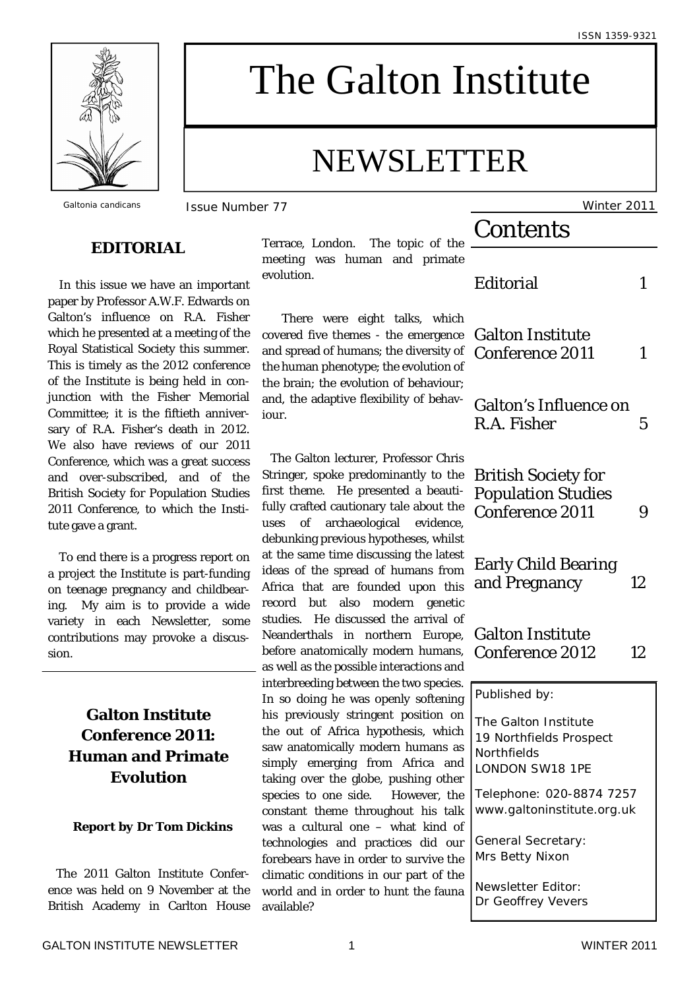ISSN 1359-9321



# The Galton Institute

## NEWSLETTER

## **EDITORIAL**

 In this issue we have an important paper by Professor A.W.F. Edwards on Galton's influence on R.A. Fisher which he presented at a meeting of the Royal Statistical Society this summer. This is timely as the 2012 conference of the Institute is being held in conjunction with the Fisher Memorial Committee; it is the fiftieth anniversary of R.A. Fisher's death in 2012. We also have reviews of our 2011 Conference, which was a great success and over-subscribed, and of the British Society for Population Studies 2011 Conference, to which the Institute gave a grant.

 To end there is a progress report on a project the Institute is part-funding on teenage pregnancy and childbearing. My aim is to provide a wide variety in each Newsletter, some contributions may provoke a discussion.

## **Galton Institute Conference 2011: Human and Primate Evolution**

#### *Report by Dr Tom Dickins*

The 2011 Galton Institute Conference was held on 9 November at the British Academy in Carlton House Terrace, London. The topic of the meeting was human and primate evolution.

 There were eight talks, which covered five themes - the emergence and spread of humans; the diversity of the human phenotype; the evolution of the brain; the evolution of behaviour; and, the adaptive flexibility of behaviour.

The Galton lecturer, Professor Chris Stringer, spoke predominantly to the first theme. He presented a beautifully crafted cautionary tale about the uses of archaeological evidence, debunking previous hypotheses, whilst at the same time discussing the latest ideas of the spread of humans from Africa that are founded upon this record but also modern genetic studies. He discussed the arrival of Neanderthals in northern Europe, before anatomically modern humans, as well as the possible interactions and interbreeding between the two species. In so doing he was openly softening his previously stringent position on the out of Africa hypothesis, which saw anatomically modern humans as simply emerging from Africa and taking over the globe, pushing other species to one side. However, the constant theme throughout his talk was a cultural one – what kind of technologies and practices did our forebears have in order to survive the climatic conditions in our part of the world and in order to hunt the fauna available?

*Galtonia candicans* Issue Number 77 Winter 2011 **Contents** Editorial 1 Galton Institute Conference 2011 1 Galton's Influence on R.A. Fisher 5 British Society for Population Studies Conference 2011 9 Early Child Bearing and Pregnancy 12 Galton Institute Conference 2012 12 Published by: The Galton Institute 19 Northfields Prospect **Northfields** LONDON SW18 1PE Telephone: 020-8874 7257 www.galtoninstitute.org.uk General Secretary: Mrs Betty Nixon

> Newsletter Editor: Dr Geoffrey Vevers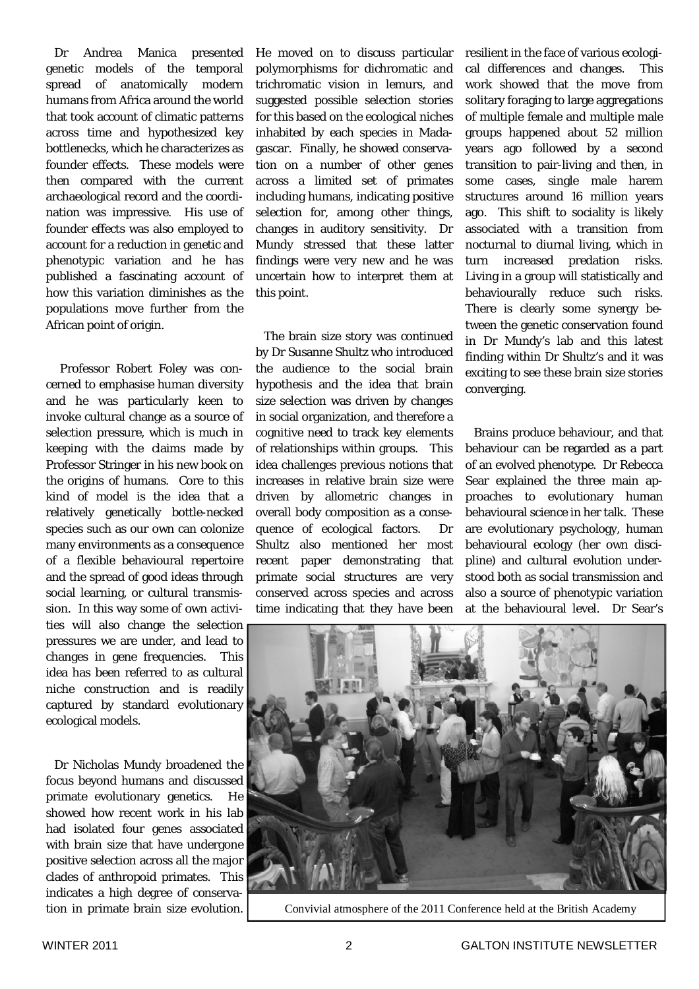Dr Andrea Manica presented genetic models of the temporal spread of anatomically modern humans from Africa around the world that took account of climatic patterns across time and hypothesized key bottlenecks, which he characterizes as founder effects. These models were then compared with the current archaeological record and the coordination was impressive. His use of founder effects was also employed to account for a reduction in genetic and phenotypic variation and he has published a fascinating account of how this variation diminishes as the populations move further from the African point of origin.

 Professor Robert Foley was concerned to emphasise human diversity and he was particularly keen to invoke cultural change as a source of selection pressure, which is much in keeping with the claims made by Professor Stringer in his new book on the origins of humans. Core to this kind of model is the idea that a relatively genetically bottle-necked species such as our own can colonize many environments as a consequence of a flexible behavioural repertoire and the spread of good ideas through social learning, or cultural transmission. In this way some of own activities will also change the selection pressures we are under, and lead to changes in gene frequencies. This idea has been referred to as cultural niche construction and is readily captured by standard evolutionary ecological models.

Dr Nicholas Mundy broadened the focus beyond humans and discussed primate evolutionary genetics. He showed how recent work in his lab had isolated four genes associated with brain size that have undergone positive selection across all the major clades of anthropoid primates. This indicates a high degree of conservation in primate brain size evolution.

He moved on to discuss particular polymorphisms for dichromatic and trichromatic vision in lemurs, and suggested possible selection stories for this based on the ecological niches inhabited by each species in Madagascar. Finally, he showed conservation on a number of other genes across a limited set of primates including humans, indicating positive selection for, among other things, changes in auditory sensitivity. Dr Mundy stressed that these latter findings were very new and he was uncertain how to interpret them at this point.

The brain size story was continued by Dr Susanne Shultz who introduced the audience to the social brain hypothesis and the idea that brain size selection was driven by changes in social organization, and therefore a cognitive need to track key elements of relationships within groups. This idea challenges previous notions that increases in relative brain size were driven by allometric changes in overall body composition as a consequence of ecological factors. Dr Shultz also mentioned her most recent paper demonstrating that primate social structures are very conserved across species and across time indicating that they have been

resilient in the face of various ecological differences and changes. This work showed that the move from solitary foraging to large aggregations of multiple female and multiple male groups happened about 52 million years ago followed by a second transition to pair-living and then, in some cases, single male harem structures around 16 million years ago. This shift to sociality is likely associated with a transition from nocturnal to diurnal living, which in turn increased predation risks. Living in a group will statistically and behaviourally reduce such risks. There is clearly some synergy between the genetic conservation found in Dr Mundy's lab and this latest finding within Dr Shultz's and it was exciting to see these brain size stories converging.

Brains produce behaviour, and that behaviour can be regarded as a part of an evolved phenotype. Dr Rebecca Sear explained the three main approaches to evolutionary human behavioural science in her talk. These are evolutionary psychology, human behavioural ecology (her own discipline) and cultural evolution understood both as social transmission and also a source of phenotypic variation at the behavioural level. Dr Sear's



Convivial atmosphere of the 2011 Conference held at the British Academy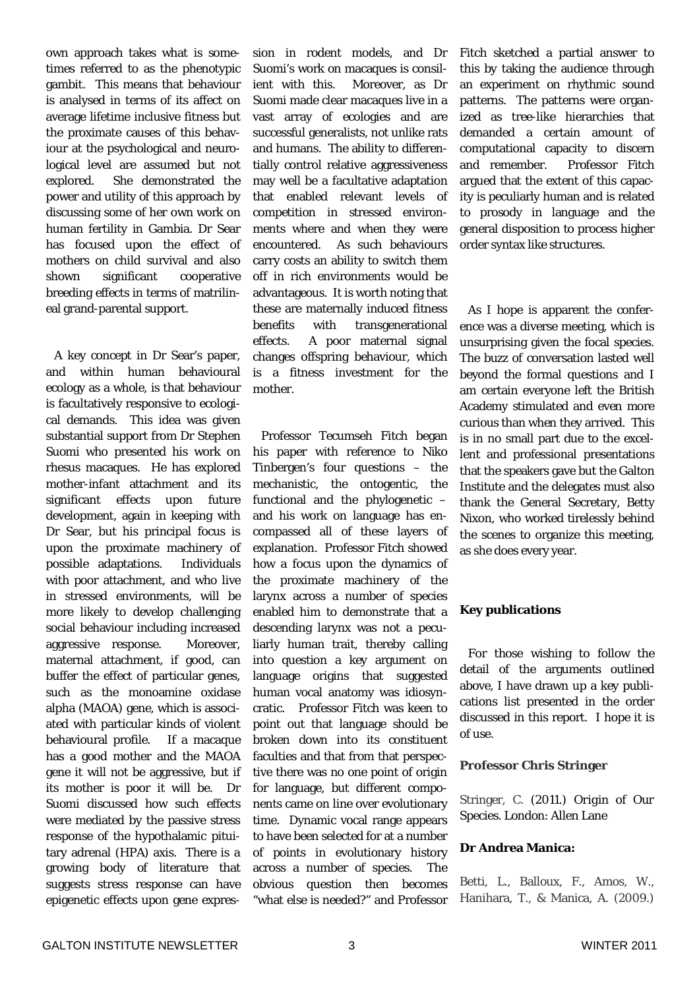own approach takes what is sometimes referred to as the phenotypic gambit. This means that behaviour is analysed in terms of its affect on average lifetime inclusive fitness but the proximate causes of this behaviour at the psychological and neurological level are assumed but not explored. She demonstrated the power and utility of this approach by discussing some of her own work on human fertility in Gambia. Dr Sear has focused upon the effect of mothers on child survival and also shown significant cooperative breeding effects in terms of matrilineal grand-parental support.

A key concept in Dr Sear's paper, and within human behavioural ecology as a whole, is that behaviour is facultatively responsive to ecological demands. This idea was given substantial support from Dr Stephen Suomi who presented his work on rhesus macaques. He has explored mother-infant attachment and its significant effects upon future development, again in keeping with Dr Sear, but his principal focus is upon the proximate machinery of possible adaptations. Individuals with poor attachment, and who live in stressed environments, will be more likely to develop challenging social behaviour including increased aggressive response. Moreover, maternal attachment, if good, can buffer the effect of particular genes, such as the monoamine oxidase alpha (MAOA) gene, which is associated with particular kinds of violent behavioural profile. If a macaque has a good mother and the MAOA gene it will not be aggressive, but if its mother is poor it will be. Dr Suomi discussed how such effects were mediated by the passive stress response of the hypothalamic pituitary adrenal (HPA) axis. There is a growing body of literature that suggests stress response can have epigenetic effects upon gene expres-

sion in rodent models, and Dr Suomi's work on macaques is consilient with this. Moreover, as Dr Suomi made clear macaques live in a vast array of ecologies and are successful generalists, not unlike rats and humans. The ability to differentially control relative aggressiveness may well be a facultative adaptation that enabled relevant levels of competition in stressed environments where and when they were encountered. As such behaviours carry costs an ability to switch them off in rich environments would be advantageous. It is worth noting that these are maternally induced fitness benefits with transgenerational effects. A poor maternal signal changes offspring behaviour, which is a fitness investment for the mother.

Professor Tecumseh Fitch began his paper with reference to Niko Tinbergen's four questions – the mechanistic, the ontogentic, the functional and the phylogenetic – and his work on language has encompassed all of these layers of explanation. Professor Fitch showed how a focus upon the dynamics of the proximate machinery of the larynx across a number of species enabled him to demonstrate that a descending larynx was not a peculiarly human trait, thereby calling into question a key argument on language origins that suggested human vocal anatomy was idiosyncratic. Professor Fitch was keen to point out that language should be broken down into its constituent faculties and that from that perspective there was no one point of origin for language, but different components came on line over evolutionary time. Dynamic vocal range appears to have been selected for at a number of points in evolutionary history across a number of species. The obvious question then becomes "what else is needed?" and Professor

Fitch sketched a partial answer to this by taking the audience through an experiment on rhythmic sound patterns. The patterns were organized as tree-like hierarchies that demanded a certain amount of computational capacity to discern and remember. Professor Fitch argued that the extent of this capacity is peculiarly human and is related to prosody in language and the general disposition to process higher order syntax like structures.

As I hope is apparent the conference was a diverse meeting, which is unsurprising given the focal species. The buzz of conversation lasted well beyond the formal questions and I am certain everyone left the British Academy stimulated and even more curious than when they arrived. This is in no small part due to the excellent and professional presentations that the speakers gave but the Galton Institute and the delegates must also thank the General Secretary, Betty Nixon, who worked tirelessly behind the scenes to organize this meeting, as she does every year.

#### **Key publications**

For those wishing to follow the detail of the arguments outlined above, I have drawn up a key publications list presented in the order discussed in this report. I hope it is of use.

#### **Professor Chris Stringer**

Stringer, C. (2011.) *Origin of Our Species.* London: Allen Lane

#### **Dr Andrea Manica:**

Betti, L., Balloux, F., Amos, W., Hanihara, T., & Manica, A. (2009.)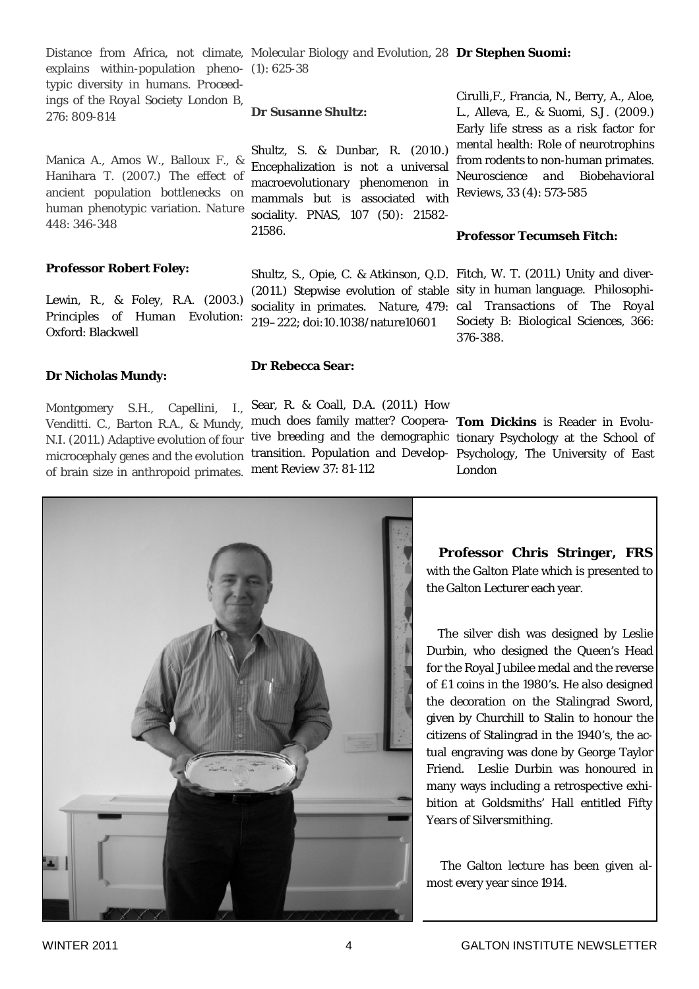explains within-population pheno-(1): 625-38 typic diversity in humans. *Proceedings of the Royal Society London B,*  276: 809-814

Manica A., Amos W., Balloux F., & Hanihara T. (2007.) The effect of ancient population bottlenecks on human phenotypic variation. *Nature* 448: 346-348

#### **Professor Robert Foley:**

Lewin, R., & Foley, R.A. (2003.) *Principles of Human Evolution*: Oxford: Blackwell

#### **Dr Nicholas Mundy:**

Montgomery S.H., Capellini, I., Venditti. C., Barton R.A., & Mundy, N.I. (2011.) Adaptive evolution of four of brain size in anthropoid primates. *ment Review 37*: 81-112

## Distance from Africa, not climate, *Molecular Biology and Evolution, 28* **Dr Stephen Suomi:**

#### **Dr Susanne Shultz:**

Shultz, S. & Dunbar, R. (2010.) Encephalization is not a universal macroevolutionary phenomenon in mammals but is associated with sociality. *PNAS, 107* (50): 21582- 21586.

Shultz, S., Opie, C. & Atkinson, Q.D. Fitch, W. T. (2011.) Unity and diver-(2011.) Stepwise evolution of stable sity in human language. *Philosophi*sociality in primates. *Nature,* 479: *cal Transactions of The Royal*  219–222; doi:10.1038/nature10601

**Dr Rebecca Sear:**

microcephaly genes and the evolution transition. *Population and Develop*- Psychology, The University of East Sear, R. & Coall, D.A. (2011.) How much does family matter? Coopera-**Tom Dickins** is Reader in Evolutive breeding and the demographic tionary Psychology at the School of

Cirulli,F., Francia, N., Berry, A., Aloe, L., Alleva, E., & Suomi, S.J. (2009.) Early life stress as a risk factor for mental health: Role of neurotrophins from rodents to non-human primates. *Neuroscience and Biobehavioral Reviews*, *33* (4): 573-585

#### **Professor Tecumseh Fitch:**

*Society B: Biological Sciences,* 366: 376-388.

London

 **Professor Chris Stringer, FRS**  with the Galton Plate which is presented to the Galton Lecturer each year.

 The silver dish was designed by Leslie Durbin, who designed the Queen's Head for the Royal Jubilee medal and the reverse of £1 coins in the 1980's. He also designed the decoration on the Stalingrad Sword, given by Churchill to Stalin to honour the citizens of Stalingrad in the 1940's, the actual engraving was done by George Taylor Friend. Leslie Durbin was honoured in many ways including a retrospective exhibition at Goldsmiths' Hall entitled *Fifty Years of Silversmithing*.

 The Galton lecture has been given almost every year since 1914.

 $\mathbf{L}$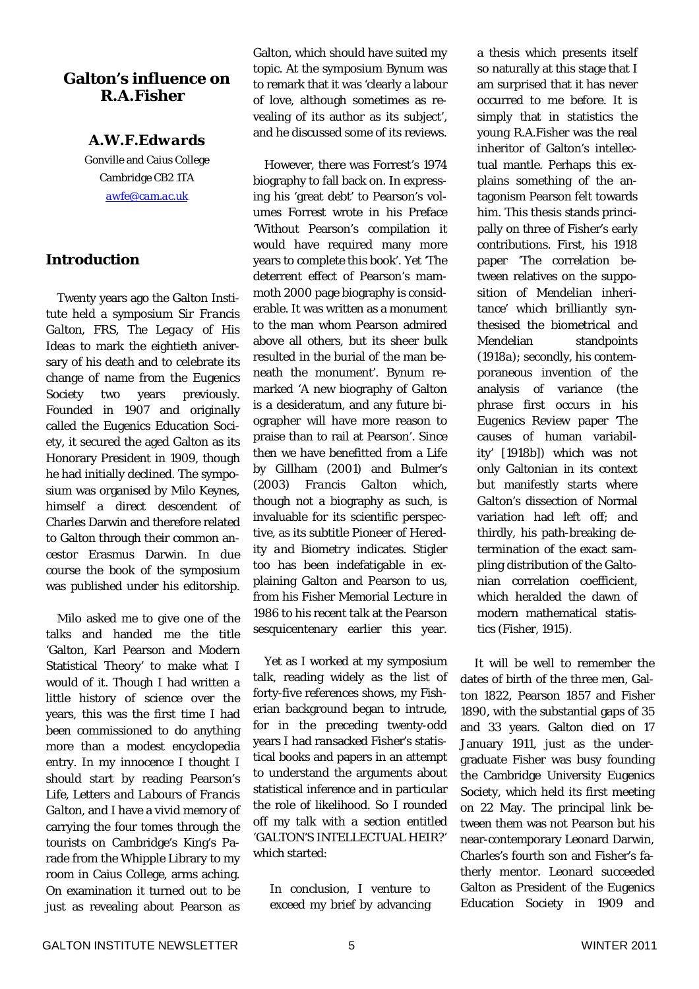## **Galton's influence on R.A.Fisher**

## *A.W.F.Edwards*

Gonville and Caius College Cambridge CB2 1TA *awfe@cam.ac.uk*

## **Introduction**

 Twenty years ago the Galton Institute held a symposium *Sir Francis Galton, FRS, The Legacy of His Ideas* to mark the eightieth aniversary of his death and to celebrate its change of name from the Eugenics Society two years previously. Founded in 1907 and originally called the Eugenics Education Society, it secured the aged Galton as its Honorary President in 1909, though he had initially declined. The symposium was organised by Milo Keynes, himself a direct descendent of Charles Darwin and therefore related to Galton through their common ancestor Erasmus Darwin. In due course the book of the symposium was published under his editorship.

 Milo asked me to give one of the talks and handed me the title 'Galton, Karl Pearson and Modern Statistical Theory' to make what I would of it. Though I had written a little history of science over the years, this was the first time I had been commissioned to do anything more than a modest encyclopedia entry. In my innocence I thought I should start by reading Pearson's *Life, Letters and Labours of Francis Galton*, and I have a vivid memory of carrying the four tomes through the tourists on Cambridge's King's Parade from the Whipple Library to my room in Caius College, arms aching. On examination it turned out to be just as revealing about Pearson as

Galton, which should have suited my topic. At the symposium Bynum was to remark that it was 'clearly a labour of love, although sometimes as revealing of its author as its subject', and he discussed some of its reviews.

 However, there was Forrest's 1974 biography to fall back on. In expressing his 'great debt' to Pearson's volumes Forrest wrote in his Preface 'Without Pearson's compilation it would have required many more years to complete this book'. Yet 'The deterrent effect of Pearson's mammoth 2000 page biography is considerable. It was written as a monument to the man whom Pearson admired above all others, but its sheer bulk resulted in the burial of the man beneath the monument'. Bynum remarked 'A new biography of Galton is a desideratum, and any future biographer will have more reason to praise than to rail at Pearson'. Since then we have benefitted from a *Life* by Gillham (2001) and Bulmer's (2003) *Francis Galton* which, though not a biography as such, is invaluable for its scientific perspective, as its subtitle *Pioneer of Heredity and Biometry* indicates. Stigler too has been indefatigable in explaining Galton and Pearson to us, from his Fisher Memorial Lecture in 1986 to his recent talk at the Pearson sesquicentenary earlier this year.

Yet as I worked at my symposium talk, reading widely as the list of forty-five references shows, my Fisherian background began to intrude, for in the preceding twenty-odd years I had ransacked Fisher's statistical books and papers in an attempt to understand the arguments about statistical inference and in particular the role of likelihood. So I rounded off my talk with a section entitled 'GALTON'S INTELLECTUAL HEIR?' which started:

In conclusion, I venture to exceed my brief by advancing

a thesis which presents itself so naturally at this stage that I am surprised that it has never occurred to me before. It is simply that in statistics the young R.A.Fisher was the real inheritor of Galton's intellectual mantle. Perhaps this explains something of the antagonism Pearson felt towards him. This thesis stands principally on three of Fisher's early contributions. First, his 1918 paper 'The correlation between relatives on the supposition of Mendelian inheritance' which brilliantly synthesised the biometrical and Mendelian standpoints (1918*a*); secondly, his contemporaneous invention of the analysis of variance (the phrase first occurs in his *Eugenics Review* paper 'The causes of human variability' [1918*b*]) which was not only Galtonian in its context but manifestly starts where Galton's dissection of Normal variation had left off; and thirdly, his path-breaking determination of the exact sampling distribution of the Galtonian correlation coefficient, which heralded the dawn of modern mathematical statistics (Fisher, 1915).

 It will be well to remember the dates of birth of the three men, Galton 1822, Pearson 1857 and Fisher 1890, with the substantial gaps of 35 and 33 years. Galton died on 17 January 1911, just as the undergraduate Fisher was busy founding the Cambridge University Eugenics Society, which held its first meeting on 22 May. The principal link between them was not Pearson but his near-contemporary Leonard Darwin, Charles's fourth son and Fisher's fatherly mentor. Leonard succeeded Galton as President of the Eugenics Education Society in 1909 and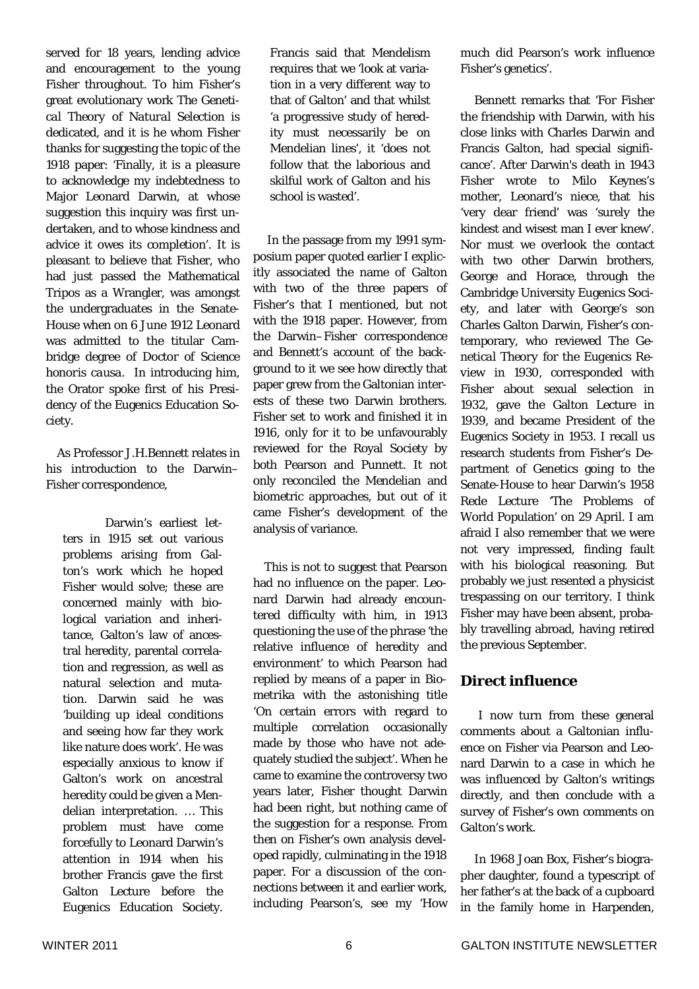served for 18 years, lending advice and encouragement to the young Fisher throughout. To him Fisher's great evolutionary work *The Genetical Theory of Natural Selection* is dedicated, and it is he whom Fisher thanks for suggesting the topic of the 1918 paper: 'Finally, it is a pleasure to acknowledge my indebtedness to Major Leonard Darwin, at whose suggestion this inquiry was first undertaken, and to whose kindness and advice it owes its completion'. It is pleasant to believe that Fisher, who had just passed the Mathematical Tripos as a Wrangler, was amongst the undergraduates in the Senate-House when on 6 June 1912 Leonard was admitted to the titular Cambridge degree of Doctor of Science *honoris causa.* In introducing him, the Orator spoke first of his Presidency of the Eugenics Education Society.

 As Professor J.H.Bennett relates in his introduction to the Darwin– Fisher correspondence,

Darwin's earliest letters in 1915 set out various problems arising from Galton's work which he hoped Fisher would solve; these are concerned mainly with biological variation and inheritance, Galton's law of ancestral heredity, parental correlation and regression, as well as natural selection and mutation. Darwin said he was 'building up ideal conditions and seeing how far they work like nature does work'. He was especially anxious to know if Galton's work on ancestral heredity could be given a Mendelian interpretation. … This problem must have come forcefully to Leonard Darwin's attention in 1914 when his brother Francis gave the first Galton Lecture before the Eugenics Education Society.

Francis said that Mendelism requires that we 'look at variation in a very different way to that of Galton' and that whilst 'a progressive study of heredity must necessarily be on Mendelian lines', it 'does not follow that the laborious and skilful work of Galton and his school is wasted'.

 In the passage from my 1991 symposium paper quoted earlier I explicitly associated the name of Galton with two of the three papers of Fisher's that I mentioned, but not with the 1918 paper. However, from the Darwin–Fisher correspondence and Bennett's account of the background to it we see how directly that paper grew from the Galtonian interests of these two Darwin brothers. Fisher set to work and finished it in 1916, only for it to be unfavourably reviewed for the Royal Society by both Pearson and Punnett. It not only reconciled the Mendelian and biometric approaches, but out of it came Fisher's development of the analysis of variance.

 This is not to suggest that Pearson had no influence on the paper. Leonard Darwin had already encountered difficulty with him, in 1913 questioning the use of the phrase 'the relative influence of heredity and environment' to which Pearson had replied by means of a paper in *Biometrika* with the astonishing title 'On certain errors with regard to multiple correlation occasionally made by those who have not adequately studied the subject'. When he came to examine the controversy two years later, Fisher thought Darwin had been right, but nothing came of the suggestion for a response. From then on Fisher's own analysis developed rapidly, culminating in the 1918 paper. For a discussion of the connections between it and earlier work, including Pearson's, see my 'How

much did Pearson's work influence Fisher's genetics'.

 Bennett remarks that 'For Fisher the friendship with Darwin, with his close links with Charles Darwin and Francis Galton, had special significance'. After Darwin's death in 1943 Fisher wrote to Milo Keynes's mother, Leonard's niece, that his 'very dear friend' was 'surely the kindest and wisest man I ever knew'. Nor must we overlook the contact with two other Darwin brothers, George and Horace, through the Cambridge University Eugenics Society, and later with George's son Charles Galton Darwin, Fisher's contemporary, who reviewed *The Genetical Theory* for the *Eugenics Review* in 1930, corresponded with Fisher about sexual selection in 1932, gave the Galton Lecture in 1939, and became President of the Eugenics Society in 1953. I recall us research students from Fisher's Department of Genetics going to the Senate-House to hear Darwin's 1958 Rede Lecture 'The Problems of World Population' on 29 April. I am afraid I also remember that we were not very impressed, finding fault with his biological reasoning. But probably we just resented a physicist trespassing on our territory. I think Fisher may have been absent, probably travelling abroad, having retired the previous September.

## **Direct influence**

I now turn from these general comments about a Galtonian influence on Fisher via Pearson and Leonard Darwin to a case in which he was influenced by Galton's writings directly, and then conclude with a survey of Fisher's own comments on Galton's work.

 In 1968 Joan Box, Fisher's biographer daughter, found a typescript of her father's at the back of a cupboard in the family home in Harpenden,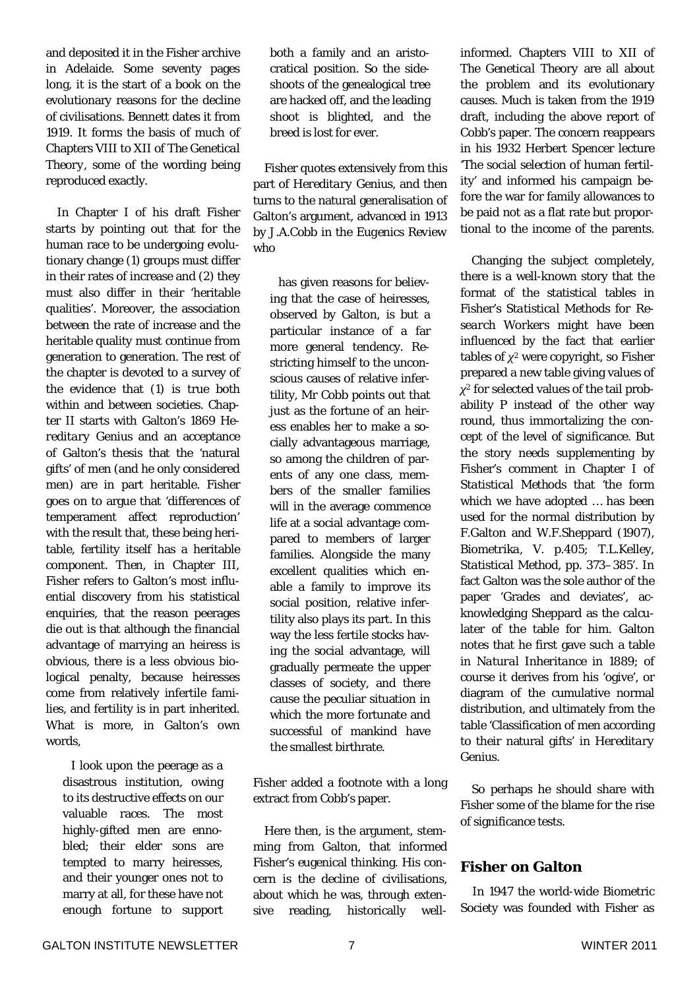and deposited it in the Fisher archive in Adelaide. Some seventy pages long, it is the start of a book on the evolutionary reasons for the decline of civilisations. Bennett dates it from 1919. It forms the basis of much of Chapters VIII to XII of *The Genetical Theory*, some of the wording being reproduced exactly.

 In Chapter I of his draft Fisher starts by pointing out that for the human race to be undergoing evolutionary change (1) groups must differ in their rates of increase and (2) they must also differ in their 'heritable qualities'. Moreover, the association between the rate of increase and the heritable quality must continue from generation to generation. The rest of the chapter is devoted to a survey of the evidence that (1) is true both within and between societies. Chapter II starts with Galton's 1869 *Hereditary Genius* and an acceptance of Galton's thesis that the 'natural gifts' of men (and he only considered men) are in part heritable. Fisher goes on to argue that 'differences of temperament affect reproduction' with the result that, these being heritable, fertility itself has a heritable component. Then, in Chapter III, Fisher refers to Galton's most influential discovery from his statistical enquiries, that the reason peerages die out is that although the financial advantage of marrying an heiress is obvious, there is a less obvious biological penalty, because heiresses come from relatively infertile families, and fertility is in part inherited. What is more, in Galton's own words,

I look upon the peerage as a disastrous institution, owing to its destructive effects on our valuable races. The most highly-gifted men are ennobled; their elder sons are tempted to marry heiresses, and their younger ones not to marry at all, for these have not enough fortune to support

both a family and an aristocratical position. So the sideshoots of the genealogical tree are hacked off, and the leading shoot is blighted, and the breed is lost for ever.

 Fisher quotes extensively from this part of *Hereditary Genius*, and then turns to the natural generalisation of Galton's argument, advanced in 1913 by J.A.Cobb in the *Eugenics Review* who

has given reasons for believing that the case of heiresses, observed by Galton, is but a particular instance of a far more general tendency. Restricting himself to the unconscious causes of relative infertility, Mr Cobb points out that just as the fortune of an heiress enables her to make a socially advantageous marriage, so among the children of parents of any one class, members of the smaller families will in the average commence life at a social advantage compared to members of larger families. Alongside the many excellent qualities which enable a family to improve its social position, relative infertility also plays its part. In this way the less fertile stocks having the social advantage, will gradually permeate the upper classes of society, and there cause the peculiar situation in which the more fortunate and successful of mankind have the smallest birthrate.

Fisher added a footnote with a long extract from Cobb's paper.

 Here then, is the argument, stemming from Galton, that informed Fisher's eugenical thinking. His concern is the decline of civilisations, about which he was, through extensive reading, historically wellinformed. Chapters VIII to XII of *The Genetical Theory* are all about the problem and its evolutionary causes. Much is taken from the 1919 draft, including the above report of Cobb's paper. The concern reappears in his 1932 Herbert Spencer lecture 'The social selection of human fertility' and informed his campaign before the war for family allowances to be paid not as a flat rate but proportional to the income of the parents.

 Changing the subject completely, there is a well-known story that the format of the statistical tables in Fisher's *Statistical Methods for Research Workers* might have been influenced by the fact that earlier tables of *χ*2 were copyright, so Fisher prepared a new table giving values of *χ*2 for selected values of the tail probability *P* instead of the other way round, thus immortalizing the concept of the level of significance. But the story needs supplementing by Fisher's comment in Chapter I of *Statistical Methods* that 'the form which we have adopted … has been used for the normal distribution by F.Galton and W.F.Sheppard (1907), *Biometrika*, V. p.405; T.L.Kelley, *Statistical Method*, pp. 373–385'. In fact Galton was the sole author of the paper 'Grades and deviates', acknowledging Sheppard as the calculater of the table for him. Galton notes that he first gave such a table in *Natural Inheritance* in 1889; of course it derives from his 'ogive', or diagram of the cumulative normal distribution, and ultimately from the table 'Classification of men according to their natural gifts' in *Hereditary Genius*.

 So perhaps he should share with Fisher some of the blame for the rise of significance tests.

## **Fisher on Galton**

In 1947 the world-wide Biometric Society was founded with Fisher as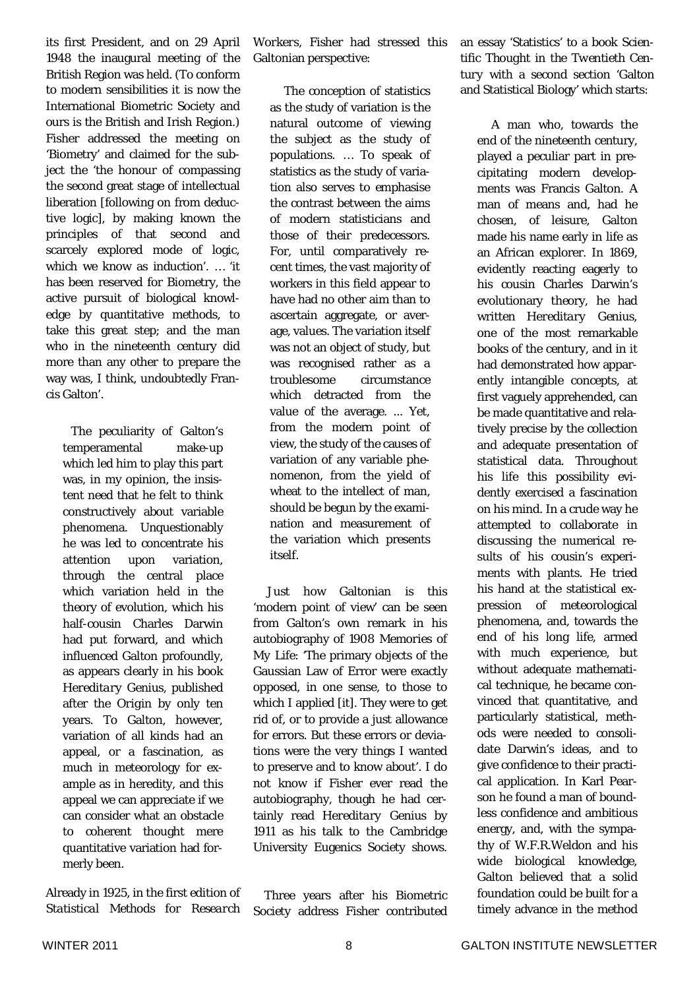its first President, and on 29 April 1948 the inaugural meeting of the British Region was held. (To conform to modern sensibilities it is now the International Biometric Society and ours is the British and Irish Region.) Fisher addressed the meeting on 'Biometry' and claimed for the subject the 'the honour of compassing the second great stage of intellectual liberation [following on from deductive logic], by making known the principles of that second and scarcely explored mode of logic, which we know as induction'. … 'it has been reserved for Biometry, the active pursuit of biological knowledge by quantitative methods, to take this great step; and the man who in the nineteenth century did more than any other to prepare the way was, I think, undoubtedly Francis Galton'.

The peculiarity of Galton's temperamental make-up which led him to play this part was, in my opinion, the insistent need that he felt to think constructively about variable phenomena. Unquestionably he was led to concentrate his attention upon variation, through the central place which variation held in the theory of evolution, which his half-cousin Charles Darwin had put forward, and which influenced Galton profoundly, as appears clearly in his book *Hereditary Genius*, published after the *Origin* by only ten years. To Galton, however, variation of all kinds had an appeal, or a fascination, as much in meteorology for example as in heredity, and this appeal we can appreciate if we can consider what an obstacle to coherent thought mere quantitative variation had formerly been.

Already in 1925, in the first edition of *Statistical Methods for Research* 

*Workers*, Fisher had stressed this Galtonian perspective:

 The conception of statistics as the study of variation is the natural outcome of viewing the subject as the study of populations. … To speak of statistics as the study of variation also serves to emphasise the contrast between the aims of modern statisticians and those of their predecessors. For, until comparatively recent times, the vast majority of workers in this field appear to have had no other aim than to ascertain aggregate, or average, values. The variation itself was not an object of study, but was recognised rather as a troublesome circumstance which detracted from the value of the average. ... Yet, from the modern point of view, the study of the causes of variation of any variable phenomenon, from the yield of wheat to the intellect of man, should be begun by the examination and measurement of the variation which presents itself.

 Just how Galtonian is this 'modern point of view' can be seen from Galton's own remark in his autobiography of 1908 *Memories of My Life*: 'The primary objects of the Gaussian Law of Error were exactly opposed, in one sense, to those to which I applied [it]. They were to get rid of, or to provide a just allowance for errors. But these errors or deviations were the very things I wanted to preserve and to know about'. I do not know if Fisher ever read the autobiography, though he had certainly read *Hereditary Genius* by 1911 as his talk to the Cambridge University Eugenics Society shows.

 Three years after his Biometric Society address Fisher contributed an essay 'Statistics' to a book *Scientific Thought in the Twentieth Century* with a second section 'Galton and Statistical Biology' which starts:

 A man who, towards the end of the nineteenth century, played a peculiar part in precipitating modern developments was Francis Galton. A man of means and, had he chosen, of leisure, Galton made his name early in life as an African explorer. In 1869, evidently reacting eagerly to his cousin Charles Darwin's evolutionary theory, he had written *Hereditary Genius*, one of the most remarkable books of the century, and in it had demonstrated how apparently intangible concepts, at first vaguely apprehended, can be made quantitative and relatively precise by the collection and adequate presentation of statistical data. Throughout his life this possibility evidently exercised a fascination on his mind. In a crude way he attempted to collaborate in discussing the numerical results of his cousin's experiments with plants. He tried his hand at the statistical expression of meteorological phenomena, and, towards the end of his long life, armed with much experience, but without adequate mathematical technique, he became convinced that quantitative, and particularly statistical, methods were needed to consolidate Darwin's ideas, and to give confidence to their practical application. In Karl Pearson he found a man of boundless confidence and ambitious energy, and, with the sympathy of W.F.R.Weldon and his wide biological knowledge, Galton believed that a solid foundation could be built for a timely advance in the method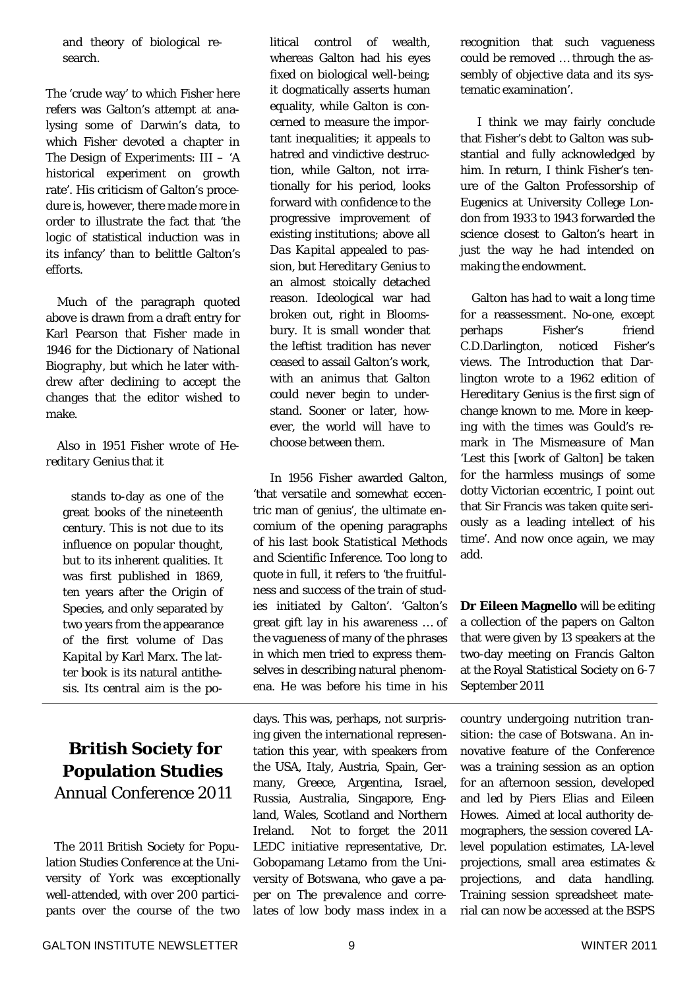and theory of biological research.

The 'crude way' to which Fisher here refers was Galton's attempt at analysing some of Darwin's data, to which Fisher devoted a chapter in *The Design of Experiments*: III – 'A historical experiment on growth rate'. His criticism of Galton's procedure is, however, there made more in order to illustrate the fact that 'the logic of statistical induction was in its infancy' than to belittle Galton's efforts.

 Much of the paragraph quoted above is drawn from a draft entry for Karl Pearson that Fisher made in 1946 for the *Dictionary of National Biography*, but which he later withdrew after declining to accept the changes that the editor wished to make.

 Also in 1951 Fisher wrote of *Hereditary Genius* that it

stands to-day as one of the great books of the nineteenth century. This is not due to its influence on popular thought, but to its inherent qualities. It was first published in 1869, ten years after the *Origin of Species*, and only separated by two years from the appearance of the first volume of *Das Kapital* by Karl Marx. The latter book is its natural antithesis. Its central aim is the po-

## **British Society for Population Studies** Annual Conference 2011

The 2011 British Society for Population Studies Conference at the University of York was exceptionally well-attended, with over 200 participants over the course of the two

litical control of wealth, whereas Galton had his eyes fixed on biological well-being; it dogmatically asserts human equality, while Galton is concerned to measure the important inequalities; it appeals to hatred and vindictive destruction, while Galton, not irrationally for his period, looks forward with confidence to the progressive improvement of existing institutions; above all *Das Kapital* appealed to passion, but *Hereditary Genius* to an almost stoically detached reason. Ideological war had broken out, right in Bloomsbury. It is small wonder that the leftist tradition has never ceased to assail Galton's work, with an animus that Galton could never begin to understand. Sooner or later, however, the world will have to choose between them.

 In 1956 Fisher awarded Galton, 'that versatile and somewhat eccentric man of genius', the ultimate encomium of the opening paragraphs of his last book *Statistical Methods and Scientific Inference*. Too long to quote in full, it refers to 'the fruitfulness and success of the train of studies initiated by Galton'. 'Galton's great gift lay in his awareness … of the vagueness of many of the phrases in which men tried to express themselves in describing natural phenomena. He was before his time in his

days. This was, perhaps, not surprising given the international representation this year, with speakers from the USA, Italy, Austria, Spain, Germany, Greece, Argentina, Israel, Russia, Australia, Singapore, England, Wales, Scotland and Northern Ireland. Not to forget the 2011 LEDC initiative representative, Dr. Gobopamang Letamo from the University of Botswana, who gave a paper on *The prevalence and correlates of low body mass index in a*  recognition that such vagueness could be removed … through the assembly of objective data and its systematic examination'.

 I think we may fairly conclude that Fisher's debt to Galton was substantial and fully acknowledged by him. In return, I think Fisher's tenure of the Galton Professorship of Eugenics at University College London from 1933 to 1943 forwarded the science closest to Galton's heart in just the way he had intended on making the endowment.

 Galton has had to wait a long time for a reassessment. No-one, except perhaps Fisher's friend C.D.Darlington, noticed Fisher's views. The Introduction that Darlington wrote to a 1962 edition of *Hereditary Genius* is the first sign of change known to me. More in keeping with the times was Gould's remark in *The Mismeasure of Man* 'Lest this [work of Galton] be taken for the harmless musings of some dotty Victorian eccentric, I point out that Sir Francis was taken quite seriously as a leading intellect of his time'. And now once again, we may add.

**Dr Eileen Magnello** will be editing a collection of the papers on Galton that were given by 13 speakers at the two-day meeting on Francis Galton at the Royal Statistical Society on 6-7 September 2011

*country undergoing nutrition transition: the case of Botswana*. An innovative feature of the Conference was a training session as an option for an afternoon session, developed and led by Piers Elias and Eileen Howes. Aimed at local authority demographers, the session covered LAlevel population estimates, LA-level projections, small area estimates & projections, and data handling. Training session spreadsheet material can now be accessed at the BSPS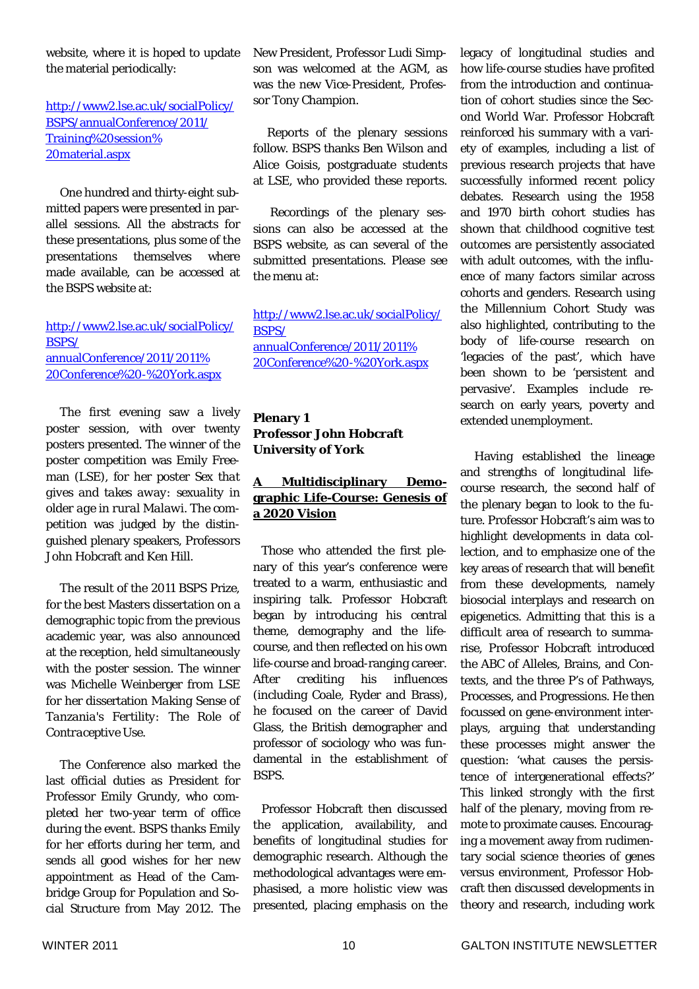website, where it is hoped to update the material periodically:

### http://www2.lse.ac.uk/socialPolicy/ BSPS/annualConference/2011/ Training%20session% 20material.aspx

 One hundred and thirty-eight submitted papers were presented in parallel sessions. All the abstracts for these presentations, plus some of the presentations themselves where made available, can be accessed at the BSPS website at:

#### http://www2.lse.ac.uk/socialPolicy/ BSPS/ annualConference/2011/2011% 20Conference%20-%20York.aspx

 The first evening saw a lively poster session, with over twenty posters presented. The winner of the poster competition was Emily Freeman (LSE), for her poster *Sex that gives and takes away: sexuality in older age in rural Malawi*. The competition was judged by the distinguished plenary speakers, Professors John Hobcraft and Ken Hill.

 The result of the 2011 BSPS Prize, for the best Masters dissertation on a demographic topic from the previous academic year, was also announced at the reception, held simultaneously with the poster session. The winner was Michelle Weinberger from LSE for her dissertation *Making Sense of Tanzania's Fertility: The Role of Contraceptive Use*.

 The Conference also marked the last official duties as President for Professor Emily Grundy, who completed her two-year term of office during the event. BSPS thanks Emily for her efforts during her term, and sends all good wishes for her new appointment as Head of the Cambridge Group for Population and Social Structure from May 2012. The

New President, Professor Ludi Simpson was welcomed at the AGM, as was the new Vice-President, Professor Tony Champion.

 Reports of the plenary sessions follow. BSPS thanks Ben Wilson and Alice Goisis, postgraduate students at LSE, who provided these reports.

 Recordings of the plenary sessions can also be accessed at the BSPS website, as can several of the submitted presentations. Please see the menu at:

http://www2.lse.ac.uk/socialPolicy/ BSPS/ annualConference/2011/2011% 20Conference%20-%20York.aspx

### **Plenary 1 Professor John Hobcraft University of York**

## **A Multidisciplinary Demographic Life-Course: Genesis of a 2020 Vision**

Those who attended the first plenary of this year's conference were treated to a warm, enthusiastic and inspiring talk. Professor Hobcraft began by introducing his central theme, demography and the lifecourse, and then reflected on his own life-course and broad-ranging career. After crediting his influences (including Coale, Ryder and Brass), he focused on the career of David Glass, the British demographer and professor of sociology who was fundamental in the establishment of BSPS.

Professor Hobcraft then discussed the application, availability, and benefits of longitudinal studies for demographic research. Although the methodological advantages were emphasised, a more holistic view was presented, placing emphasis on the

legacy of longitudinal studies and how life-course studies have profited from the introduction and continuation of cohort studies since the Second World War. Professor Hobcraft reinforced his summary with a variety of examples, including a list of previous research projects that have successfully informed recent policy debates. Research using the 1958 and 1970 birth cohort studies has shown that childhood cognitive test outcomes are persistently associated with adult outcomes, with the influence of many factors similar across cohorts and genders. Research using the Millennium Cohort Study was also highlighted, contributing to the body of life-course research on 'legacies of the past', which have been shown to be 'persistent and pervasive'. Examples include research on early years, poverty and extended unemployment.

 Having established the lineage and strengths of longitudinal lifecourse research, the second half of the plenary began to look to the future. Professor Hobcraft's aim was to highlight developments in data collection, and to emphasize one of the key areas of research that will benefit from these developments, namely biosocial interplays and research on epigenetics. Admitting that this is a difficult area of research to summarise, Professor Hobcraft introduced the ABC of Alleles, Brains, and Contexts, and the three P's of Pathways, Processes, and Progressions. He then focussed on gene-environment interplays, arguing that understanding these processes might answer the question: 'what causes the persistence of intergenerational effects?' This linked strongly with the first half of the plenary, moving from remote to proximate causes. Encouraging a movement away from rudimentary social science theories of genes versus environment, Professor Hobcraft then discussed developments in theory and research, including work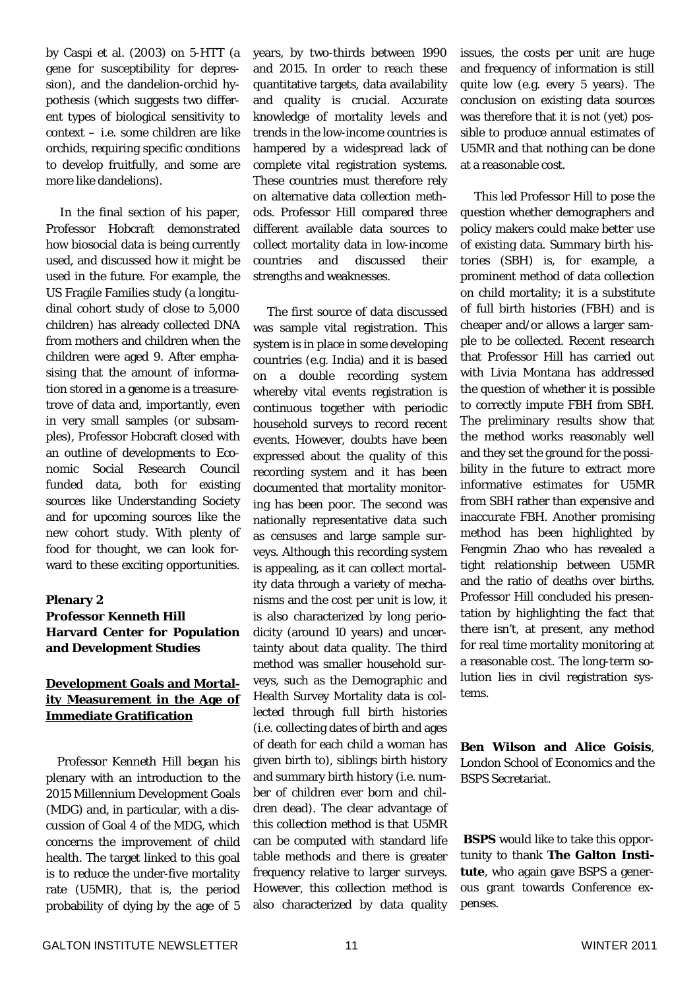by Caspi et al. (2003) on 5-HTT (a gene for susceptibility for depression), and the dandelion-orchid hypothesis (which suggests two different types of biological sensitivity to context – i.e. some children are like orchids, requiring specific conditions to develop fruitfully, and some are more like dandelions).

 In the final section of his paper, Professor Hobcraft demonstrated how biosocial data is being currently used, and discussed how it might be used in the future. For example, the US Fragile Families study (a longitudinal cohort study of close to 5,000 children) has already collected DNA from mothers and children when the children were aged 9. After emphasising that the amount of information stored in a genome is a treasuretrove of data and, importantly, even in very small samples (or subsamples), Professor Hobcraft closed with an outline of developments to Economic Social Research Council funded data, both for existing sources like Understanding Society and for upcoming sources like the new cohort study. With plenty of food for thought, we can look forward to these exciting opportunities.

#### **Plenary 2 Professor Kenneth Hill Harvard Center for Population and Development Studies**

#### **Development Goals and Mortality Measurement in the Age of Immediate Gratification**

 Professor Kenneth Hill began his plenary with an introduction to the 2015 Millennium Development Goals (MDG) and, in particular, with a discussion of Goal 4 of the MDG, which concerns the improvement of child health. The target linked to this goal is to reduce the under-five mortality rate (U5MR), that is, the period probability of dying by the age of 5

years, by two-thirds between 1990 and 2015. In order to reach these quantitative targets, data availability and quality is crucial. Accurate knowledge of mortality levels and trends in the low-income countries is hampered by a widespread lack of complete vital registration systems. These countries must therefore rely on alternative data collection methods. Professor Hill compared three different available data sources to collect mortality data in low-income countries and discussed their strengths and weaknesses.

 The first source of data discussed was sample vital registration. This system is in place in some developing countries (e.g. India) and it is based on a double recording system whereby vital events registration is continuous together with periodic household surveys to record recent events. However, doubts have been expressed about the quality of this recording system and it has been documented that mortality monitoring has been poor. The second was nationally representative data such as censuses and large sample surveys. Although this recording system is appealing, as it can collect mortality data through a variety of mechanisms and the cost per unit is low, it is also characterized by long periodicity (around 10 years) and uncertainty about data quality. The third method was smaller household surveys, such as the Demographic and Health Survey Mortality data is collected through full birth histories (i.e. collecting dates of birth and ages of death for each child a woman has given birth to), siblings birth history and summary birth history (i.e. number of children ever born and children dead). The clear advantage of this collection method is that U5MR can be computed with standard life table methods and there is greater frequency relative to larger surveys. However, this collection method is also characterized by data quality

issues, the costs per unit are huge and frequency of information is still quite low (e.g. every 5 years). The conclusion on existing data sources was therefore that it is not (yet) possible to produce annual estimates of U5MR and that nothing can be done at a reasonable cost.

 This led Professor Hill to pose the question whether demographers and policy makers could make better use of existing data. Summary birth histories (SBH) is, for example, a prominent method of data collection on child mortality; it is a substitute of full birth histories (FBH) and is cheaper and/or allows a larger sample to be collected. Recent research that Professor Hill has carried out with Livia Montana has addressed the question of whether it is possible to correctly impute FBH from SBH. The preliminary results show that the method works reasonably well and they set the ground for the possibility in the future to extract more informative estimates for U5MR from SBH rather than expensive and inaccurate FBH. Another promising method has been highlighted by Fengmin Zhao who has revealed a tight relationship between U5MR and the ratio of deaths over births. Professor Hill concluded his presentation by highlighting the fact that there isn't, at present, any method for real time mortality monitoring at a reasonable cost. The long-term solution lies in civil registration systems.

**Ben Wilson and Alice Goisis**, London School of Economics and the BSPS Secretariat.

**BSPS** would like to take this opportunity to thank **The Galton Institute**, who again gave BSPS a generous grant towards Conference expenses.